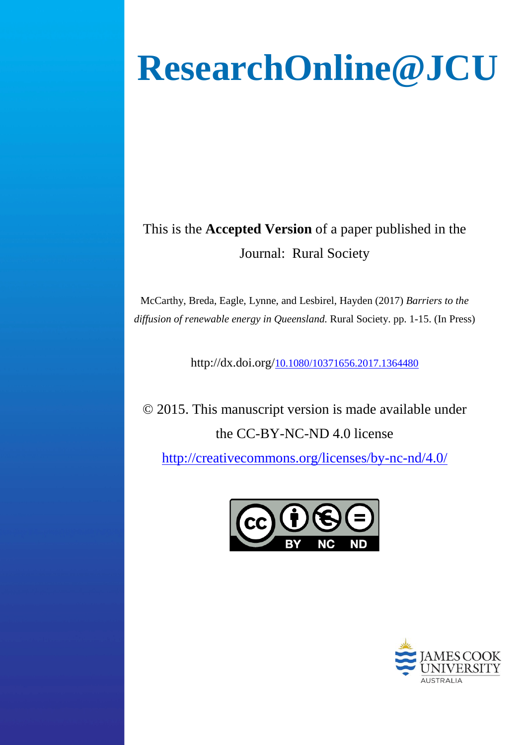# **ResearchOnline@JCU**

# This is the **Accepted Version** of a paper published in the Journal: Rural Society

McCarthy, Breda, Eagle, Lynne, and Lesbirel, Hayden (2017) *Barriers to the diffusion of renewable energy in Queensland.* Rural Society. pp. 1-15. (In Press)

http://dx.doi.org[/10.1080/10371656.2017.1364480](http://dx.doi.org/10.1080/10371656.2017.1364480)

© 2015. This manuscript version is made available under the CC-BY-NC-ND 4.0 license

<http://creativecommons.org/licenses/by-nc-nd/4.0/>



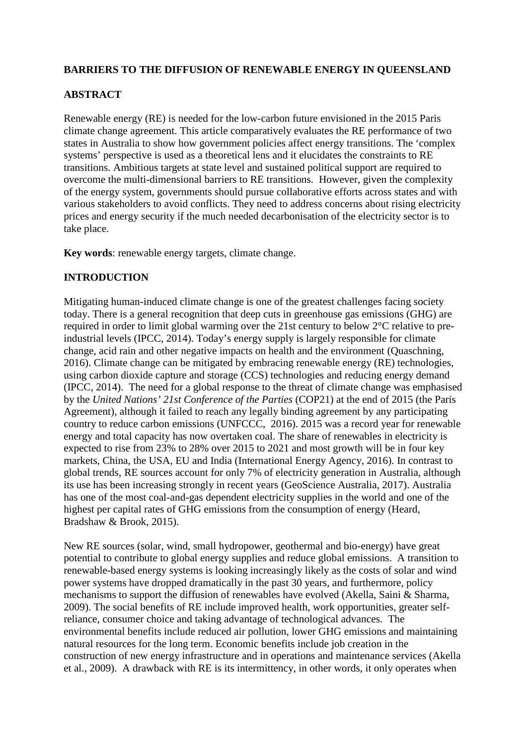#### **BARRIERS TO THE DIFFUSION OF RENEWABLE ENERGY IN QUEENSLAND**

#### **ABSTRACT**

Renewable energy (RE) is needed for the low-carbon future envisioned in the 2015 Paris climate change agreement. This article comparatively evaluates the RE performance of two states in Australia to show how government policies affect energy transitions. The 'complex systems' perspective is used as a theoretical lens and it elucidates the constraints to RE transitions. Ambitious targets at state level and sustained political support are required to overcome the multi-dimensional barriers to RE transitions. However, given the complexity of the energy system, governments should pursue collaborative efforts across states and with various stakeholders to avoid conflicts. They need to address concerns about rising electricity prices and energy security if the much needed decarbonisation of the electricity sector is to take place.

**Key words**: renewable energy targets, climate change.

# **INTRODUCTION**

Mitigating human-induced climate change is one of the greatest challenges facing society today. There is a general recognition that deep cuts in greenhouse gas emissions (GHG) are required in order to limit global warming over the 21st century to below 2°C relative to preindustrial levels (IPCC, 2014). Today's energy supply is largely responsible for climate change, acid rain and other negative impacts on health and the environment (Quaschning, 2016). Climate change can be mitigated by embracing renewable energy (RE) technologies, using carbon dioxide capture and storage (CCS) technologies and reducing energy demand (IPCC, 2014). The need for a global response to the threat of climate change was emphasised by the *United Nations' 21st Conference of the Parties* (COP21) at the end of 2015 (the Paris Agreement), although it failed to reach any legally binding agreement by any participating country to reduce carbon emissions (UNFCCC, 2016). 2015 was a record year for renewable energy and total capacity has now overtaken coal. The share of renewables in electricity is expected to rise from 23% to 28% over 2015 to 2021 and most growth will be in four key markets, China, the USA, EU and India (International Energy Agency, 2016). In contrast to global trends, RE sources account for only 7% of electricity generation in Australia, although its use has been increasing strongly in recent years (GeoScience Australia, 2017). Australia has one of the most coal-and-gas dependent electricity supplies in the world and one of the highest per capital rates of GHG emissions from the consumption of energy (Heard, Bradshaw & Brook, 2015).

New RE sources (solar, wind, small hydropower, geothermal and bio-energy) have great potential to contribute to global energy supplies and reduce global emissions. A transition to renewable-based energy systems is looking increasingly likely as the costs of solar and wind power systems have dropped dramatically in the past 30 years, and furthermore, policy mechanisms to support the diffusion of renewables have evolved (Akella, Saini & Sharma, 2009). The social benefits of RE include improved health, work opportunities, greater selfreliance, consumer choice and taking advantage of technological advances. The environmental benefits include reduced air pollution, lower GHG emissions and maintaining natural resources for the long term. Economic benefits include job creation in the construction of new energy infrastructure and in operations and maintenance services (Akella et al., 2009). A drawback with RE is its intermittency, in other words, it only operates when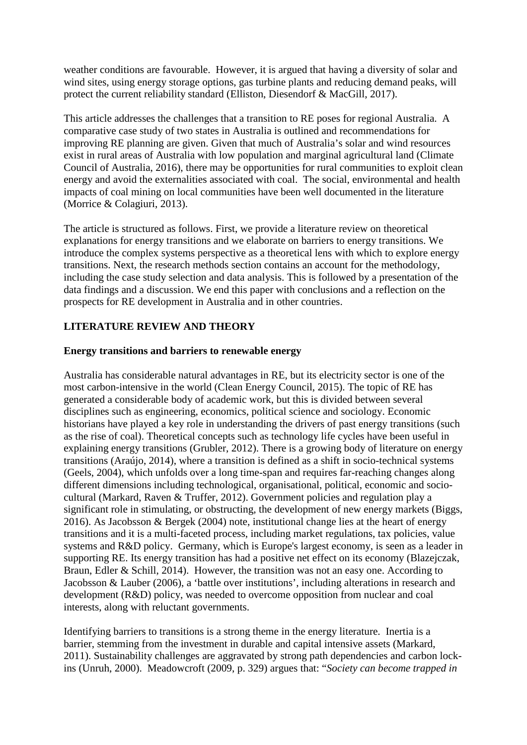weather conditions are favourable. However, it is argued that having a diversity of solar and wind sites, using energy storage options, gas turbine plants and reducing demand peaks, will protect the current reliability standard (Elliston, Diesendorf & MacGill, 2017).

This article addresses the challenges that a transition to RE poses for regional Australia. A comparative case study of two states in Australia is outlined and recommendations for improving RE planning are given. Given that much of Australia's solar and wind resources exist in rural areas of Australia with low population and marginal agricultural land (Climate Council of Australia, 2016), there may be opportunities for rural communities to exploit clean energy and avoid the externalities associated with coal. The social, environmental and health impacts of coal mining on local communities have been well documented in the literature (Morrice & Colagiuri, 2013).

The article is structured as follows. First, we provide a literature review on theoretical explanations for energy transitions and we elaborate on barriers to energy transitions. We introduce the complex systems perspective as a theoretical lens with which to explore energy transitions. Next, the research methods section contains an account for the methodology, including the case study selection and data analysis. This is followed by a presentation of the data findings and a discussion. We end this paper with conclusions and a reflection on the prospects for RE development in Australia and in other countries.

#### **LITERATURE REVIEW AND THEORY**

#### **Energy transitions and barriers to renewable energy**

Australia has considerable natural advantages in RE, but its electricity sector is one of the most carbon-intensive in the world (Clean Energy Council, 2015). The topic of RE has generated a considerable body of academic work, but this is divided between several disciplines such as engineering, economics, political science and sociology. Economic historians have played a key role in understanding the drivers of past energy transitions (such as the rise of coal). Theoretical concepts such as technology life cycles have been useful in explaining energy transitions (Grubler, 2012). There is a growing body of literature on energy transitions (Araújo, 2014), where a transition is defined as a shift in socio-technical systems (Geels, 2004), which unfolds over a long time-span and requires far-reaching changes along different dimensions including technological, organisational, political, economic and sociocultural (Markard, Raven & Truffer, 2012). Government policies and regulation play a significant role in stimulating, or obstructing, the development of new energy markets (Biggs, 2016). As Jacobsson & Bergek (2004) note, institutional change lies at the heart of energy transitions and it is a multi-faceted process, including market regulations, tax policies, value systems and R&D policy. Germany, which is Europe's largest economy, is seen as a leader in supporting RE. Its energy transition has had a positive net effect on its economy (Blazejczak, Braun, Edler & Schill, 2014). However, the transition was not an easy one. According to Jacobsson & Lauber (2006), a 'battle over institutions', including alterations in research and development (R&D) policy, was needed to overcome opposition from nuclear and coal interests, along with reluctant governments.

Identifying barriers to transitions is a strong theme in the energy literature. Inertia is a barrier, stemming from the investment in durable and capital intensive assets (Markard, 2011). Sustainability challenges are aggravated by strong path dependencies and carbon lockins (Unruh, 2000). Meadowcroft (2009, p. 329) argues that: "*Society can become trapped in*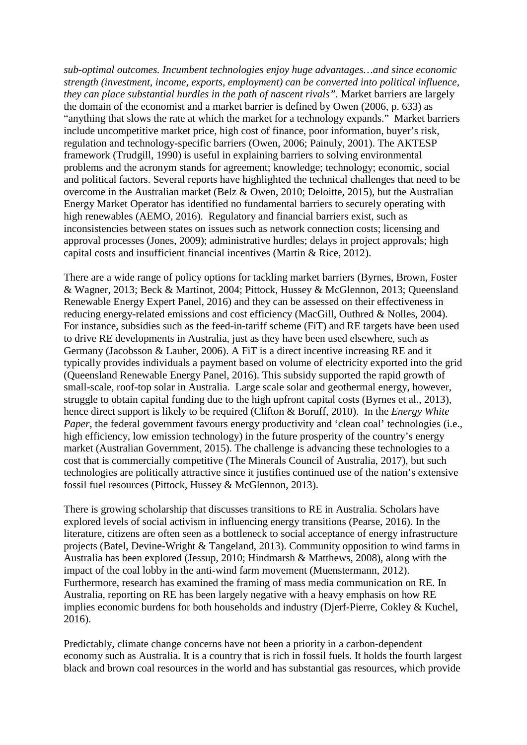*sub-optimal outcomes. Incumbent technologies enjoy huge advantages…and since economic strength (investment, income, exports, employment) can be converted into political influence, they can place substantial hurdles in the path of nascent rivals".* Market barriers are largely the domain of the economist and a market barrier is defined by Owen (2006, p. 633) as "anything that slows the rate at which the market for a technology expands." Market barriers include uncompetitive market price, high cost of finance, poor information, buyer's risk, regulation and technology-specific barriers (Owen, 2006; Painuly, 2001). The AKTESP framework (Trudgill, 1990) is useful in explaining barriers to solving environmental problems and the acronym stands for agreement; knowledge; technology; economic, social and political factors. Several reports have highlighted the technical challenges that need to be overcome in the Australian market (Belz & Owen, 2010; Deloitte, 2015), but the Australian Energy Market Operator has identified no fundamental barriers to securely operating with high renewables (AEMO, 2016). Regulatory and financial barriers exist, such as inconsistencies between states on issues such as network connection costs; licensing and approval processes (Jones, 2009); administrative hurdles; delays in project approvals; high capital costs and insufficient financial incentives (Martin & Rice, 2012).

There are a wide range of policy options for tackling market barriers (Byrnes, Brown, Foster & Wagner, 2013; Beck & Martinot, 2004; Pittock, Hussey & McGlennon, 2013; Queensland Renewable Energy Expert Panel, 2016) and they can be assessed on their effectiveness in reducing energy-related emissions and cost efficiency (MacGill, Outhred & Nolles, 2004). For instance, subsidies such as the feed-in-tariff scheme (FiT) and RE targets have been used to drive RE developments in Australia, just as they have been used elsewhere, such as Germany (Jacobsson & Lauber, 2006). A FiT is a direct incentive increasing RE and it typically provides individuals a payment based on volume of electricity exported into the grid (Queensland Renewable Energy Panel, 2016). This subsidy supported the rapid growth of small-scale, roof-top solar in Australia. Large scale solar and geothermal energy, however, struggle to obtain capital funding due to the high upfront capital costs (Byrnes et al., 2013), hence direct support is likely to be required (Clifton & Boruff, 2010). In the *Energy White Paper*, the federal government favours energy productivity and 'clean coal' technologies (i.e., high efficiency, low emission technology) in the future prosperity of the country's energy market (Australian Government, 2015). The challenge is advancing these technologies to a cost that is commercially competitive (The Minerals Council of Australia, 2017), but such technologies are politically attractive since it justifies continued use of the nation's extensive fossil fuel resources (Pittock, Hussey & McGlennon, 2013).

There is growing scholarship that discusses transitions to RE in Australia. Scholars have explored levels of social activism in influencing energy transitions (Pearse, 2016). In the literature, citizens are often seen as a bottleneck to social acceptance of energy infrastructure projects (Batel, Devine-Wright & Tangeland, 2013). Community opposition to wind farms in Australia has been explored (Jessup, 2010; Hindmarsh & Matthews, 2008), along with the impact of the coal lobby in the anti-wind farm movement (Muenstermann, 2012). Furthermore, research has examined the framing of mass media communication on RE. In Australia, reporting on RE has been largely negative with a heavy emphasis on how RE implies economic burdens for both households and industry (Djerf-Pierre, Cokley & Kuchel, 2016).

Predictably, climate change concerns have not been a priority in a carbon-dependent economy such as Australia. It is a country that is rich in fossil fuels. It holds the fourth largest black and brown coal resources in the world and has substantial gas resources, which provide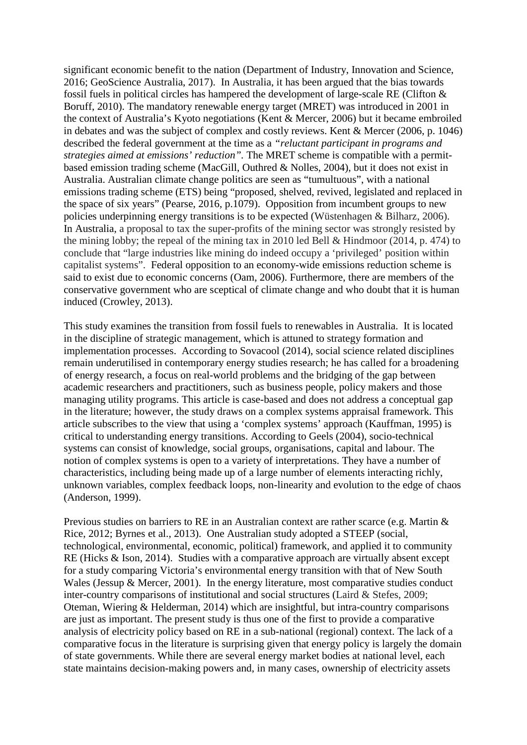significant economic benefit to the nation (Department of Industry, Innovation and Science, 2016; GeoScience Australia, 2017). In Australia, it has been argued that the bias towards fossil fuels in political circles has hampered the development of large-scale RE (Clifton & Boruff, 2010). The mandatory renewable energy target (MRET) was introduced in 2001 in the context of Australia's Kyoto negotiations (Kent & Mercer, 2006) but it became embroiled in debates and was the subject of complex and costly reviews. Kent & Mercer (2006, p. 1046) described the federal government at the time as a *"reluctant participant in programs and strategies aimed at emissions' reduction".* The MRET scheme is compatible with a permitbased emission trading scheme (MacGill, Outhred & Nolles, 2004), but it does not exist in Australia. Australian climate change politics are seen as "tumultuous", with a national emissions trading scheme (ETS) being "proposed, shelved, revived, legislated and replaced in the space of six years" (Pearse, 2016, p.1079). Opposition from incumbent groups to new policies underpinning energy transitions is to be expected (Wüstenhagen & Bilharz, 2006). In Australia, a proposal to tax the super-profits of the mining sector was strongly resisted by the mining lobby; the repeal of the mining tax in 2010 led Bell & Hindmoor (2014, p. 474) to conclude that "large industries like mining do indeed occupy a 'privileged' position within capitalist systems". Federal opposition to an economy-wide emissions reduction scheme is said to exist due to economic concerns (Oam, 2006). Furthermore, there are members of the conservative government who are sceptical of climate change and who doubt that it is human induced (Crowley, 2013).

This study examines the transition from fossil fuels to renewables in Australia. It is located in the discipline of strategic management, which is attuned to strategy formation and implementation processes. According to Sovacool (2014), social science related disciplines remain underutilised in contemporary energy studies research; he has called for a broadening of energy research, a focus on real-world problems and the bridging of the gap between academic researchers and practitioners, such as business people, policy makers and those managing utility programs. This article is case-based and does not address a conceptual gap in the literature; however, the study draws on a complex systems appraisal framework. This article subscribes to the view that using a 'complex systems' approach (Kauffman, 1995) is critical to understanding energy transitions. According to Geels (2004), socio-technical systems can consist of knowledge, social groups, organisations, capital and labour. The notion of complex systems is open to a variety of interpretations. They have a number of characteristics, including being made up of a large number of elements interacting richly, unknown variables, complex feedback loops, non-linearity and evolution to the edge of chaos (Anderson, 1999).

Previous studies on barriers to RE in an Australian context are rather scarce (e.g. Martin & Rice, 2012; Byrnes et al., 2013). One Australian study adopted a STEEP (social, technological, environmental, economic, political) framework, and applied it to community RE (Hicks & Ison, 2014). Studies with a comparative approach are virtually absent except for a study comparing Victoria's environmental energy transition with that of New South Wales (Jessup & Mercer, 2001). In the energy literature, most comparative studies conduct inter-country comparisons of institutional and social structures (Laird & Stefes, 2009; Oteman, Wiering & Helderman, 2014) which are insightful, but intra-country comparisons are just as important. The present study is thus one of the first to provide a comparative analysis of electricity policy based on RE in a sub-national (regional) context. The lack of a comparative focus in the literature is surprising given that energy policy is largely the domain of state governments. While there are several energy market bodies at national level, each state maintains decision-making powers and, in many cases, ownership of electricity assets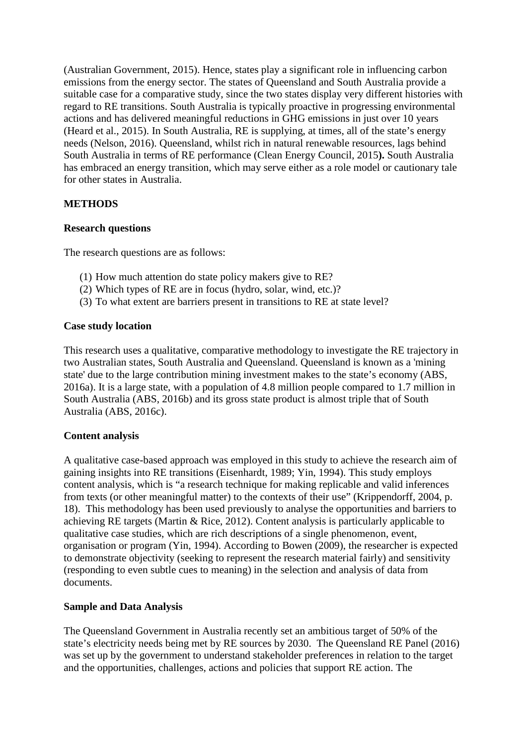(Australian Government, 2015). Hence, states play a significant role in influencing carbon emissions from the energy sector. The states of Queensland and South Australia provide a suitable case for a comparative study, since the two states display very different histories with regard to RE transitions. South Australia is typically proactive in progressing environmental actions and has delivered meaningful reductions in GHG emissions in just over 10 years (Heard et al., 2015). In South Australia, RE is supplying, at times, all of the state's energy needs (Nelson, 2016). Queensland, whilst rich in natural renewable resources, lags behind South Australia in terms of RE performance (Clean Energy Council, 2015**).** South Australia has embraced an energy transition, which may serve either as a role model or cautionary tale for other states in Australia.

#### **METHODS**

#### **Research questions**

The research questions are as follows:

- (1) How much attention do state policy makers give to RE?
- (2) Which types of RE are in focus (hydro, solar, wind, etc.)?
- (3) To what extent are barriers present in transitions to RE at state level?

#### **Case study location**

This research uses a qualitative, comparative methodology to investigate the RE trajectory in two Australian states, South Australia and Queensland. Queensland is known as a 'mining state' due to the large contribution mining investment makes to the state's economy (ABS, 2016a). It is a large state, with a population of 4.8 million people compared to 1.7 million in South Australia (ABS, 2016b) and its gross state product is almost triple that of South Australia (ABS, 2016c).

#### **Content analysis**

A qualitative case-based approach was employed in this study to achieve the research aim of gaining insights into RE transitions (Eisenhardt, 1989; Yin, 1994). This study employs content analysis, which is "a research technique for making replicable and valid inferences from texts (or other meaningful matter) to the contexts of their use" (Krippendorff, 2004, p. 18). This methodology has been used previously to analyse the opportunities and barriers to achieving RE targets (Martin & Rice, 2012). Content analysis is particularly applicable to qualitative case studies, which are rich descriptions of a single phenomenon, event, organisation or program (Yin, 1994). According to Bowen (2009), the researcher is expected to demonstrate objectivity (seeking to represent the research material fairly) and sensitivity (responding to even subtle cues to meaning) in the selection and analysis of data from documents.

#### **Sample and Data Analysis**

The Queensland Government in Australia recently set an ambitious target of 50% of the state's electricity needs being met by RE sources by 2030. The Queensland RE Panel (2016) was set up by the government to understand stakeholder preferences in relation to the target and the opportunities, challenges, actions and policies that support RE action. The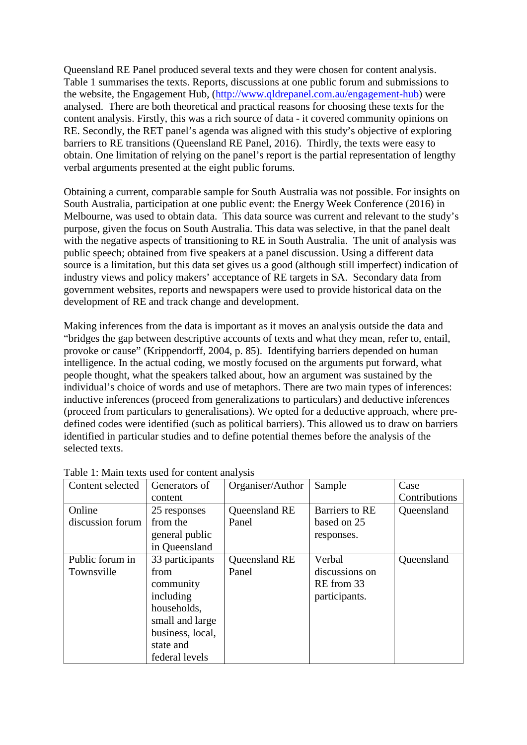Queensland RE Panel produced several texts and they were chosen for content analysis. Table 1 summarises the texts. Reports, discussions at one public forum and submissions to the website, the Engagement Hub, [\(http://www.qldrepanel.com.au/engagement-hub\)](http://www.qldrepanel.com.au/engagement-hub) were analysed. There are both theoretical and practical reasons for choosing these texts for the content analysis. Firstly, this was a rich source of data - it covered community opinions on RE. Secondly, the RET panel's agenda was aligned with this study's objective of exploring barriers to RE transitions (Queensland RE Panel, 2016). Thirdly, the texts were easy to obtain. One limitation of relying on the panel's report is the partial representation of lengthy verbal arguments presented at the eight public forums.

Obtaining a current, comparable sample for South Australia was not possible. For insights on South Australia, participation at one public event: the Energy Week Conference (2016) in Melbourne, was used to obtain data. This data source was current and relevant to the study's purpose, given the focus on South Australia. This data was selective, in that the panel dealt with the negative aspects of transitioning to RE in South Australia. The unit of analysis was public speech; obtained from five speakers at a panel discussion. Using a different data source is a limitation, but this data set gives us a good (although still imperfect) indication of industry views and policy makers' acceptance of RE targets in SA. Secondary data from government websites, reports and newspapers were used to provide historical data on the development of RE and track change and development.

Making inferences from the data is important as it moves an analysis outside the data and "bridges the gap between descriptive accounts of texts and what they mean, refer to, entail, provoke or cause" (Krippendorff, 2004, p. 85). Identifying barriers depended on human intelligence. In the actual coding, we mostly focused on the arguments put forward, what people thought, what the speakers talked about, how an argument was sustained by the individual's choice of words and use of metaphors. There are two main types of inferences: inductive inferences (proceed from generalizations to particulars) and deductive inferences (proceed from particulars to generalisations). We opted for a deductive approach, where predefined codes were identified (such as political barriers). This allowed us to draw on barriers identified in particular studies and to define potential themes before the analysis of the selected texts.

| Content selected | Generators of    | Organiser/Author | Sample         | Case          |
|------------------|------------------|------------------|----------------|---------------|
|                  | content          |                  |                | Contributions |
| Online           | 25 responses     | Queensland RE    | Barriers to RE | Queensland    |
| discussion forum | from the         | Panel            | based on 25    |               |
|                  | general public   |                  | responses.     |               |
|                  | in Queensland    |                  |                |               |
| Public forum in  | 33 participants  | Queensland RE    | Verbal         | Queensland    |
| Townsville       | from             | Panel            | discussions on |               |
|                  | community        |                  | RE from 33     |               |
|                  | including        |                  | participants.  |               |
|                  | households,      |                  |                |               |
|                  | small and large  |                  |                |               |
|                  | business, local, |                  |                |               |
|                  | state and        |                  |                |               |
|                  | federal levels   |                  |                |               |

Table 1: Main texts used for content analysis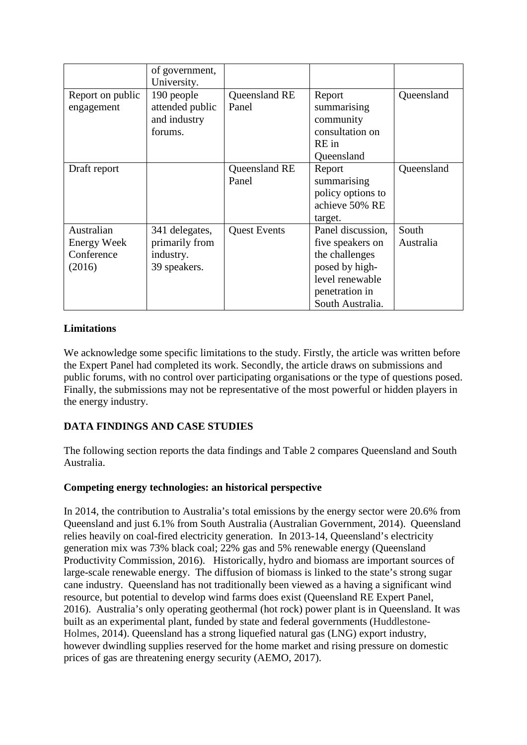|                    | of government,<br>University. |                     |                   |            |
|--------------------|-------------------------------|---------------------|-------------------|------------|
| Report on public   | 190 people                    | Queensland RE       | Report            | Queensland |
| engagement         | attended public               | Panel               | summarising       |            |
|                    | and industry                  |                     | community         |            |
|                    | forums.                       |                     | consultation on   |            |
|                    |                               |                     | RE in             |            |
|                    |                               |                     | Queensland        |            |
| Draft report       |                               | Queensland RE       | Report            | Queensland |
|                    |                               | Panel               | summarising       |            |
|                    |                               |                     | policy options to |            |
|                    |                               |                     | achieve 50% RE    |            |
|                    |                               |                     | target.           |            |
| Australian         | 341 delegates,                | <b>Quest Events</b> | Panel discussion, | South      |
| <b>Energy Week</b> | primarily from                |                     | five speakers on  | Australia  |
| Conference         | industry.                     |                     | the challenges    |            |
| (2016)             | 39 speakers.                  |                     | posed by high-    |            |
|                    |                               |                     | level renewable   |            |
|                    |                               |                     | penetration in    |            |
|                    |                               |                     | South Australia.  |            |

# **Limitations**

We acknowledge some specific limitations to the study. Firstly, the article was written before the Expert Panel had completed its work. Secondly, the article draws on submissions and public forums, with no control over participating organisations or the type of questions posed. Finally, the submissions may not be representative of the most powerful or hidden players in the energy industry.

# **DATA FINDINGS AND CASE STUDIES**

The following section reports the data findings and Table 2 compares Queensland and South Australia.

#### **Competing energy technologies: an historical perspective**

In 2014, the contribution to Australia's total emissions by the energy sector were 20.6% from Queensland and just 6.1% from South Australia (Australian Government, 2014). Queensland relies heavily on coal-fired electricity generation. In 2013-14, Queensland's electricity generation mix was 73% black coal; 22% gas and 5% renewable energy (Queensland Productivity Commission, 2016). Historically, hydro and biomass are important sources of large-scale renewable energy. The diffusion of biomass is linked to the state's strong sugar cane industry. Queensland has not traditionally been viewed as a having a significant wind resource, but potential to develop wind farms does exist (Queensland RE Expert Panel, 2016). Australia's only operating geothermal (hot rock) power plant is in Queensland. It was built as an experimental plant, funded by state and federal governments (Huddlestone-Holmes, 2014). Queensland has a strong liquefied natural gas (LNG) export industry, however dwindling supplies reserved for the home market and rising pressure on domestic prices of gas are threatening energy security (AEMO, 2017).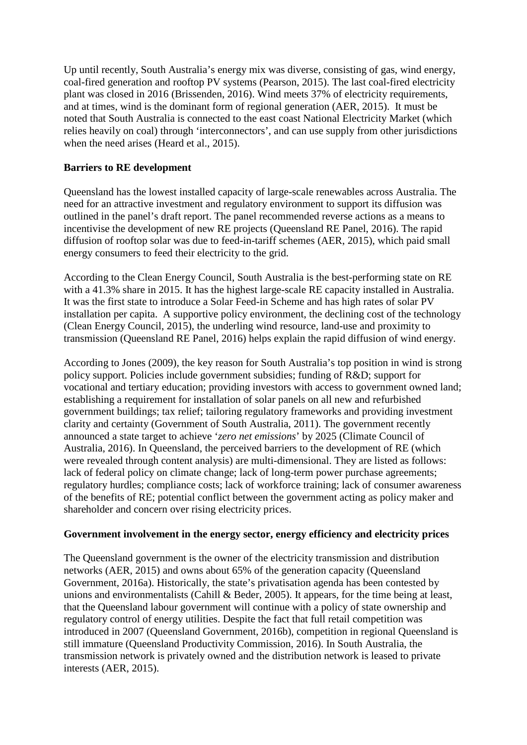Up until recently, South Australia's energy mix was diverse, consisting of gas, wind energy, coal-fired generation and rooftop PV systems (Pearson, 2015). The last coal-fired electricity plant was closed in 2016 (Brissenden, 2016). Wind meets 37% of electricity requirements, and at times, wind is the dominant form of regional generation (AER, 2015). It must be noted that South Australia is connected to the east coast National Electricity Market (which relies heavily on coal) through 'interconnectors', and can use supply from other jurisdictions when the need arises (Heard et al., 2015).

#### **Barriers to RE development**

Queensland has the lowest installed capacity of large-scale renewables across Australia. The need for an attractive investment and regulatory environment to support its diffusion was outlined in the panel's draft report. The panel recommended reverse actions as a means to incentivise the development of new RE projects (Queensland RE Panel, 2016). The rapid diffusion of rooftop solar was due to feed-in-tariff schemes (AER, 2015), which paid small energy consumers to feed their electricity to the grid.

According to the Clean Energy Council, South Australia is the best-performing state on RE with a 41.3% share in 2015. It has the highest large-scale RE capacity installed in Australia. It was the first state to introduce a Solar Feed-in Scheme and has high rates of solar PV installation per capita. A supportive policy environment, the declining cost of the technology (Clean Energy Council, 2015), the underling wind resource, land-use and proximity to transmission (Queensland RE Panel, 2016) helps explain the rapid diffusion of wind energy.

According to Jones (2009), the key reason for South Australia's top position in wind is strong policy support. Policies include government subsidies; funding of R&D; support for vocational and tertiary education; providing investors with access to government owned land; establishing a requirement for installation of solar panels on all new and refurbished government buildings; tax relief; tailoring regulatory frameworks and providing investment clarity and certainty (Government of South Australia, 2011). The government recently announced a state target to achieve '*zero net emissions*' by 2025 (Climate Council of Australia, 2016). In Queensland, the perceived barriers to the development of RE (which were revealed through content analysis) are multi-dimensional. They are listed as follows: lack of federal policy on climate change; lack of long-term power purchase agreements; regulatory hurdles; compliance costs; lack of workforce training; lack of consumer awareness of the benefits of RE; potential conflict between the government acting as policy maker and shareholder and concern over rising electricity prices.

#### **Government involvement in the energy sector, energy efficiency and electricity prices**

The Queensland government is the owner of the electricity transmission and distribution networks (AER, 2015) and owns about 65% of the generation capacity (Queensland Government, 2016a). Historically, the state's privatisation agenda has been contested by unions and environmentalists (Cahill & Beder, 2005). It appears, for the time being at least, that the Queensland labour government will continue with a policy of state ownership and regulatory control of energy utilities. Despite the fact that full retail competition was introduced in 2007 (Queensland Government, 2016b), competition in regional Queensland is still immature (Queensland Productivity Commission, 2016). In South Australia, the transmission network is privately owned and the distribution network is leased to private interests (AER, 2015).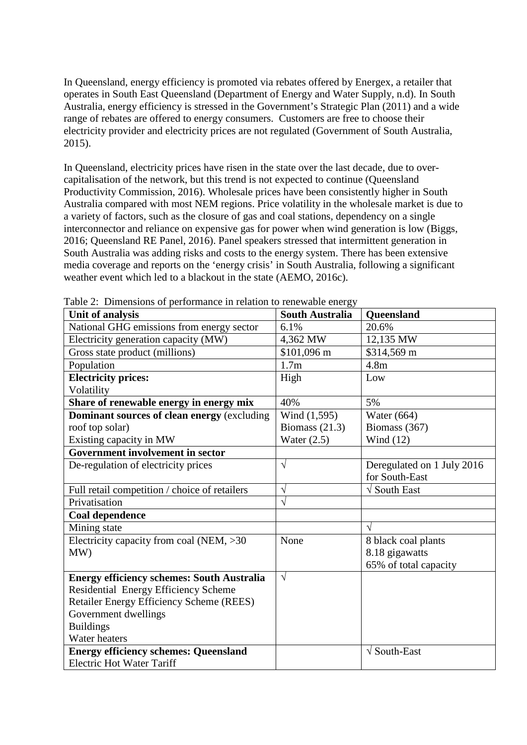In Queensland, energy efficiency is promoted via rebates offered by Energex, a retailer that operates in South East Queensland (Department of Energy and Water Supply, n.d). In South Australia, energy efficiency is stressed in the Government's Strategic Plan (2011) and a wide range of rebates are offered to energy consumers. Customers are free to choose their electricity provider and electricity prices are not regulated (Government of South Australia, 2015).

In Queensland, electricity prices have risen in the state over the last decade, due to overcapitalisation of the network, but this trend is not expected to continue (Queensland Productivity Commission, 2016). Wholesale prices have been consistently higher in South Australia compared with most NEM regions. Price volatility in the wholesale market is due to a variety of factors, such as the closure of gas and coal stations, dependency on a single interconnector and reliance on expensive gas for power when wind generation is low (Biggs, 2016; Queensland RE Panel, 2016). Panel speakers stressed that intermittent generation in South Australia was adding risks and costs to the energy system. There has been extensive media coverage and reports on the 'energy crisis' in South Australia, following a significant weather event which led to a blackout in the state (AEMO, 2016c).

| Unit of analysis                                  | <b>South Australia</b> | <b>Queensland</b>               |
|---------------------------------------------------|------------------------|---------------------------------|
| National GHG emissions from energy sector         | 6.1%                   | 20.6%                           |
| Electricity generation capacity (MW)              | 4,362 MW               | 12,135 MW                       |
| Gross state product (millions)                    | \$101,096 m            | \$314,569 m                     |
| Population                                        | 1.7 <sub>m</sub>       | 4.8 <sub>m</sub>                |
| <b>Electricity prices:</b>                        | High                   | Low                             |
| Volatility                                        |                        |                                 |
| Share of renewable energy in energy mix           | 40%                    | 5%                              |
| Dominant sources of clean energy (excluding       | Wind (1,595)           | Water $(664)$                   |
| roof top solar)                                   | Biomass $(21.3)$       | Biomass (367)                   |
| Existing capacity in MW                           | Water $(2.5)$          | Wind $(12)$                     |
| <b>Government involvement in sector</b>           |                        |                                 |
| De-regulation of electricity prices               | $\sqrt{ }$             | Deregulated on 1 July 2016      |
|                                                   |                        | for South-East                  |
| Full retail competition / choice of retailers     | $\sqrt{ }$             | $\sqrt{\frac{1}{1}}$ South East |
| Privatisation                                     | V                      |                                 |
| Coal dependence                                   |                        |                                 |
| Mining state                                      |                        |                                 |
| Electricity capacity from coal (NEM, $>30$        | None                   | 8 black coal plants             |
| MW)                                               |                        | 8.18 gigawatts                  |
|                                                   |                        | 65% of total capacity           |
| <b>Energy efficiency schemes: South Australia</b> | $\sqrt{ }$             |                                 |
| Residential Energy Efficiency Scheme              |                        |                                 |
| Retailer Energy Efficiency Scheme (REES)          |                        |                                 |
| Government dwellings                              |                        |                                 |
| <b>Buildings</b>                                  |                        |                                 |
| Water heaters                                     |                        |                                 |
| <b>Energy efficiency schemes: Queensland</b>      |                        | $\sqrt{\text{South-East}}$      |
| <b>Electric Hot Water Tariff</b>                  |                        |                                 |

Table 2: Dimensions of performance in relation to renewable energy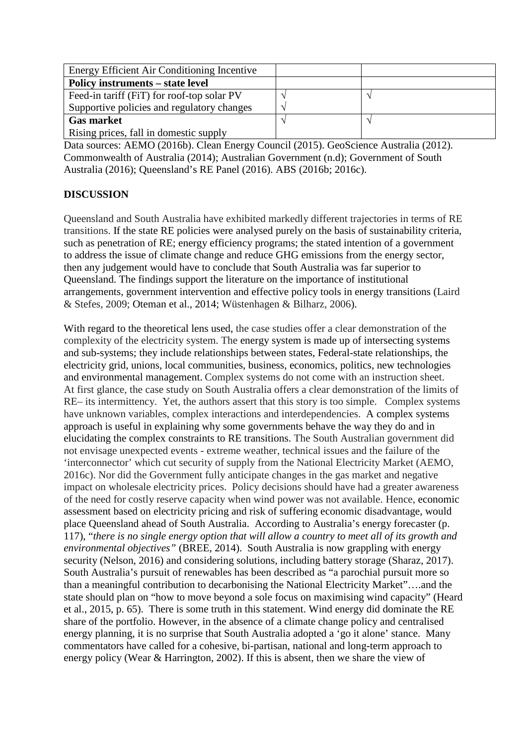| Energy Efficient Air Conditioning Incentive |  |
|---------------------------------------------|--|
| <b>Policy instruments – state level</b>     |  |
| Feed-in tariff (FiT) for roof-top solar PV  |  |
| Supportive policies and regulatory changes  |  |
| <b>Gas market</b>                           |  |
| Rising prices, fall in domestic supply      |  |

Data sources: AEMO (2016b). Clean Energy Council (2015). GeoScience Australia (2012). Commonwealth of Australia (2014); Australian Government (n.d); Government of South Australia (2016); Queensland's RE Panel (2016). ABS (2016b; 2016c).

# **DISCUSSION**

Queensland and South Australia have exhibited markedly different trajectories in terms of RE transitions. If the state RE policies were analysed purely on the basis of sustainability criteria, such as penetration of RE; energy efficiency programs; the stated intention of a government to address the issue of climate change and reduce GHG emissions from the energy sector, then any judgement would have to conclude that South Australia was far superior to Queensland. The findings support the literature on the importance of institutional arrangements, government intervention and effective policy tools in energy transitions (Laird & Stefes, 2009; Oteman et al., 2014; Wüstenhagen & Bilharz, 2006).

With regard to the theoretical lens used, the case studies offer a clear demonstration of the complexity of the electricity system. The energy system is made up of intersecting systems and sub-systems; they include relationships between states, Federal-state relationships, the electricity grid, unions, local communities, business, economics, politics, new technologies and environmental management. Complex systems do not come with an instruction sheet. At first glance, the case study on South Australia offers a clear demonstration of the limits of RE– its intermittency. Yet, the authors assert that this story is too simple. Complex systems have unknown variables, complex interactions and interdependencies. A complex systems approach is useful in explaining why some governments behave the way they do and in elucidating the complex constraints to RE transitions. The South Australian government did not envisage unexpected events - extreme weather, technical issues and the failure of the 'interconnector' which cut security of supply from the National Electricity Market (AEMO, 2016c). Nor did the Government fully anticipate changes in the gas market and negative impact on wholesale electricity prices. Policy decisions should have had a greater awareness of the need for costly reserve capacity when wind power was not available. Hence, economic assessment based on electricity pricing and risk of suffering economic disadvantage, would place Queensland ahead of South Australia. According to Australia's energy forecaster (p. 117), "*there is no single energy option that will allow a country to meet all of its growth and environmental objectives"* (BREE, 2014). South Australia is now grappling with energy security (Nelson, 2016) and considering solutions, including battery storage (Sharaz, 2017). South Australia's pursuit of renewables has been described as "a parochial pursuit more so than a meaningful contribution to decarbonising the National Electricity Market"….and the state should plan on "how to move beyond a sole focus on maximising wind capacity" (Heard et al., 2015, p. 65). There is some truth in this statement. Wind energy did dominate the RE share of the portfolio. However, in the absence of a climate change policy and centralised energy planning, it is no surprise that South Australia adopted a 'go it alone' stance. Many commentators have called for a cohesive, bi-partisan, national and long-term approach to energy policy (Wear & Harrington, 2002). If this is absent, then we share the view of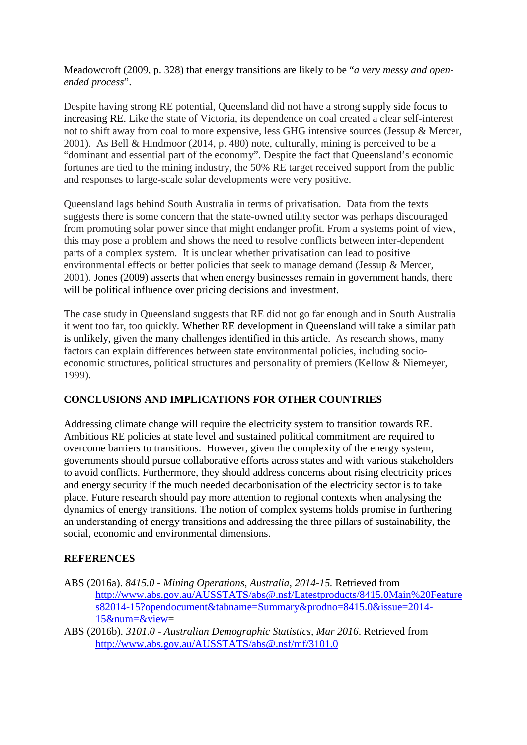Meadowcroft (2009, p. 328) that energy transitions are likely to be "*a very messy and openended process*".

Despite having strong RE potential, Queensland did not have a strong supply side focus to increasing RE. Like the state of Victoria, its dependence on coal created a clear self-interest not to shift away from coal to more expensive, less GHG intensive sources (Jessup & Mercer, 2001). As Bell & Hindmoor (2014, p. 480) note, culturally, mining is perceived to be a "dominant and essential part of the economy". Despite the fact that Queensland's economic fortunes are tied to the mining industry, the 50% RE target received support from the public and responses to large-scale solar developments were very positive.

Queensland lags behind South Australia in terms of privatisation. Data from the texts suggests there is some concern that the state-owned utility sector was perhaps discouraged from promoting solar power since that might endanger profit. From a systems point of view, this may pose a problem and shows the need to resolve conflicts between inter-dependent parts of a complex system. It is unclear whether privatisation can lead to positive environmental effects or better policies that seek to manage demand (Jessup & Mercer, 2001). Jones (2009) asserts that when energy businesses remain in government hands, there will be political influence over pricing decisions and investment.

The case study in Queensland suggests that RE did not go far enough and in South Australia it went too far, too quickly. Whether RE development in Queensland will take a similar path is unlikely, given the many challenges identified in this article. As research shows, many factors can explain differences between state environmental policies, including socioeconomic structures, political structures and personality of premiers (Kellow & Niemeyer, 1999).

# **CONCLUSIONS AND IMPLICATIONS FOR OTHER COUNTRIES**

Addressing climate change will require the electricity system to transition towards RE. Ambitious RE policies at state level and sustained political commitment are required to overcome barriers to transitions. However, given the complexity of the energy system, governments should pursue collaborative efforts across states and with various stakeholders to avoid conflicts. Furthermore, they should address concerns about rising electricity prices and energy security if the much needed decarbonisation of the electricity sector is to take place. Future research should pay more attention to regional contexts when analysing the dynamics of energy transitions. The notion of complex systems holds promise in furthering an understanding of energy transitions and addressing the three pillars of sustainability, the social, economic and environmental dimensions.

#### **REFERENCES**

- ABS (2016a). *8415.0 - Mining Operations, Australia, 2014-15.* Retrieved from [http://www.abs.gov.au/AUSSTATS/abs@.nsf/Latestproducts/8415.0Main%20Feature](http://www.abs.gov.au/AUSSTATS/abs@.nsf/Latestproducts/8415.0Main%20Features82014-15?opendocument&tabname=Summary&prodno=8415.0&issue=2014-15&num=&view) [s82014-15?opendocument&tabname=Summary&prodno=8415.0&issue=2014-](http://www.abs.gov.au/AUSSTATS/abs@.nsf/Latestproducts/8415.0Main%20Features82014-15?opendocument&tabname=Summary&prodno=8415.0&issue=2014-15&num=&view) [15&num=&view=](http://www.abs.gov.au/AUSSTATS/abs@.nsf/Latestproducts/8415.0Main%20Features82014-15?opendocument&tabname=Summary&prodno=8415.0&issue=2014-15&num=&view)
- ABS (2016b). *3101.0 - Australian Demographic Statistics, Mar 2016*. Retrieved from <http://www.abs.gov.au/AUSSTATS/abs@.nsf/mf/3101.0>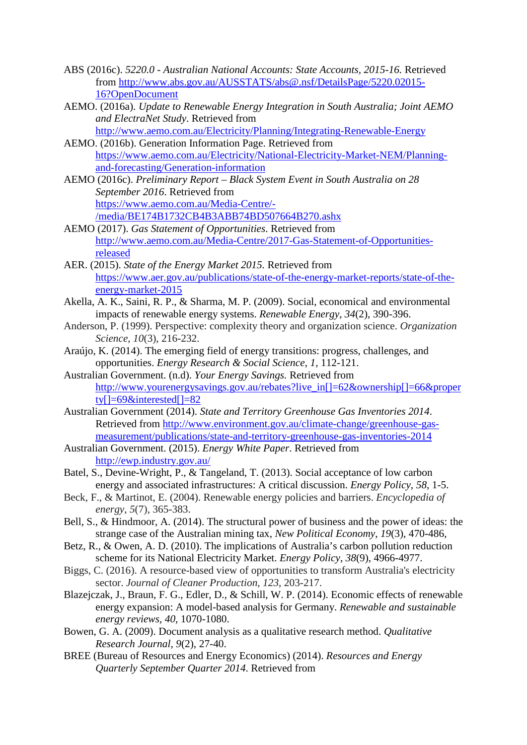- ABS (2016c). *5220.0 - Australian National Accounts: State Accounts, 2015-16.* Retrieved from [http://www.abs.gov.au/AUSSTATS/abs@.nsf/DetailsPage/5220.02015-](http://www.abs.gov.au/AUSSTATS/abs@.nsf/DetailsPage/5220.02015-16?OpenDocument) [16?OpenDocument](http://www.abs.gov.au/AUSSTATS/abs@.nsf/DetailsPage/5220.02015-16?OpenDocument)
- AEMO. (2016a). *Update to Renewable Energy Integration in South Australia; Joint AEMO and ElectraNet Study*. Retrieved from
- <http://www.aemo.com.au/Electricity/Planning/Integrating-Renewable-Energy> AEMO. (2016b). Generation Information Page. Retrieved from
- [https://www.aemo.com.au/Electricity/National-Electricity-Market-NEM/Planning](https://www.aemo.com.au/Electricity/National-Electricity-Market-NEM/Planning-and-forecasting/Generation-information)[and-forecasting/Generation-information](https://www.aemo.com.au/Electricity/National-Electricity-Market-NEM/Planning-and-forecasting/Generation-information)
- AEMO (2016c). *Preliminary Report – Black System Event in South Australia on 28 September 2016*. Retrieved from [https://www.aemo.com.au/Media-Centre/-](https://www.aemo.com.au/Media-Centre/-/media/BE174B1732CB4B3ABB74BD507664B270.ashx) [/media/BE174B1732CB4B3ABB74BD507664B270.ashx](https://www.aemo.com.au/Media-Centre/-/media/BE174B1732CB4B3ABB74BD507664B270.ashx)
- AEMO (2017). *Gas Statement of Opportunities*. Retrieved from [http://www.aemo.com.au/Media-Centre/2017-Gas-Statement-of-Opportunities](http://www.aemo.com.au/Media-Centre/2017-Gas-Statement-of-Opportunities-released)[released](http://www.aemo.com.au/Media-Centre/2017-Gas-Statement-of-Opportunities-released)
- AER. (2015). *State of the Energy Market 2015.* Retrieved from [https://www.aer.gov.au/publications/state-of-the-energy-market-reports/state-of-the](https://www.aer.gov.au/publications/state-of-the-energy-market-reports/state-of-the-energy-market-2015)[energy-market-2015](https://www.aer.gov.au/publications/state-of-the-energy-market-reports/state-of-the-energy-market-2015)
- Akella, A. K., Saini, R. P., & Sharma, M. P. (2009). Social, economical and environmental impacts of renewable energy systems. *Renewable Energy*, *34*(2), 390-396.
- Anderson, P. (1999). Perspective: complexity theory and organization science. *Organization Science*, *10*(3), 216-232.
- Araújo, K. (2014). The emerging field of energy transitions: progress, challenges, and opportunities. *Energy Research & Social Science*, *1*, 112-121.
- Australian Government. (n.d). *Your Energy Savings.* Retrieved from [http://www.yourenergysavings.gov.au/rebates?live\\_in\[\]=62&ownership\[\]=66&proper](http://www.yourenergysavings.gov.au/rebates?live_in%5b%5d=62&ownership%5b%5d=66&property%5b%5d=69&interested%5b%5d=82) ty $[]-69\&$ interested $[]-82$
- Australian Government (2014). *State and Territory Greenhouse Gas Inventories 2014*. Retrieved from [http://www.environment.gov.au/climate-change/greenhouse-gas](http://www.environment.gov.au/climate-change/greenhouse-gas-measurement/publications/state-and-territory-greenhouse-gas-inventories-2014)[measurement/publications/state-and-territory-greenhouse-gas-inventories-2014](http://www.environment.gov.au/climate-change/greenhouse-gas-measurement/publications/state-and-territory-greenhouse-gas-inventories-2014)
- Australian Government. (2015). *Energy White Paper*. Retrieved from <http://ewp.industry.gov.au/>
- Batel, S., Devine-Wright, P., & Tangeland, T. (2013). Social acceptance of low carbon energy and associated infrastructures: A critical discussion. *Energy Policy, 58*, 1-5.
- Beck, F., & Martinot, E. (2004). Renewable energy policies and barriers. *Encyclopedia of energy*, *5*(7), 365-383.
- Bell, S., & Hindmoor, A. (2014). The structural power of business and the power of ideas: the strange case of the Australian mining tax, *New Political Economy*, *19*(3), 470-486,
- Betz, R., & Owen, A. D. (2010). The implications of Australia's carbon pollution reduction scheme for its National Electricity Market. *Energy Policy*, *38*(9), 4966-4977.
- Biggs, C. (2016). A resource-based view of opportunities to transform Australia's electricity sector. *Journal of Cleaner Production*, *123*, 203-217.
- Blazejczak, J., Braun, F. G., Edler, D., & Schill, W. P. (2014). Economic effects of renewable energy expansion: A model-based analysis for Germany. *Renewable and sustainable energy reviews*, *40*, 1070-1080.
- Bowen, G. A. (2009). Document analysis as a qualitative research method. *Qualitative Research Journal*, *9*(2), 27-40.
- BREE (Bureau of Resources and Energy Economics) (2014). *Resources and Energy Quarterly September Quarter 2014*. Retrieved from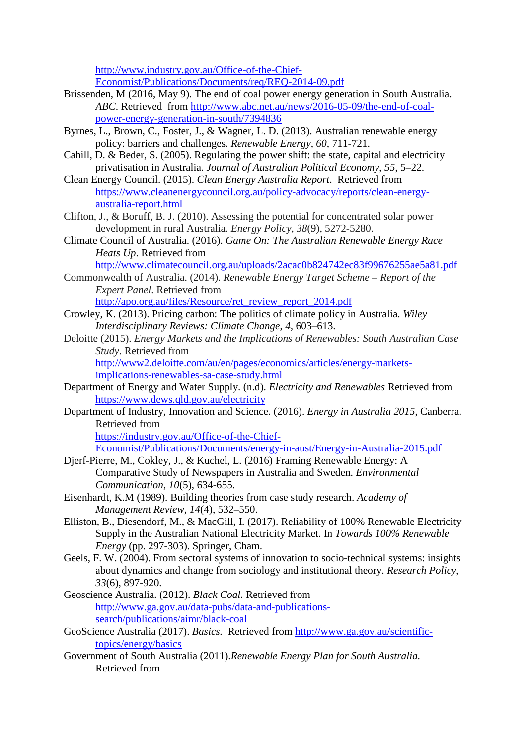[http://www.industry.gov.au/Office-of-the-Chief-](http://www.industry.gov.au/Office-of-the-Chief-Economist/Publications/Documents/req/REQ-2014-09.pdf)[Economist/Publications/Documents/req/REQ-2014-09.pdf](http://www.industry.gov.au/Office-of-the-Chief-Economist/Publications/Documents/req/REQ-2014-09.pdf)

- Brissenden, M (2016, May 9). The end of coal power energy generation in South Australia. *ABC*. Retrieved from [http://www.abc.net.au/news/2016-05-09/the-end-of-coal](http://www.abc.net.au/news/2016-05-09/the-end-of-coal-power-energy-generation-in-south/7394836)[power-energy-generation-in-south/7394836](http://www.abc.net.au/news/2016-05-09/the-end-of-coal-power-energy-generation-in-south/7394836)
- Byrnes, L., Brown, C., Foster, J., & Wagner, L. D. (2013). Australian renewable energy policy: barriers and challenges. *Renewable Energy*, *60*, 711-721.
- Cahill, D. & Beder, S. (2005). Regulating the power shift: the state, capital and electricity privatisation in Australia. *Journal of Australian Political Economy*, *55*, 5–22.
- Clean Energy Council. (2015). *Clean Energy Australia Report*. Retrieved from [https://www.cleanenergycouncil.org.au/policy-advocacy/reports/clean-energy](https://www.cleanenergycouncil.org.au/policy-advocacy/reports/clean-energy-australia-report.html)[australia-report.html](https://www.cleanenergycouncil.org.au/policy-advocacy/reports/clean-energy-australia-report.html)
- Clifton, J., & Boruff, B. J. (2010). Assessing the potential for concentrated solar power development in rural Australia. *Energy Policy*, *38*(9), 5272-5280.
- Climate Council of Australia. (2016). *Game On: The Australian Renewable Energy Race Heats Up*. Retrieved from
	- <http://www.climatecouncil.org.au/uploads/2acac0b824742ec83f99676255ae5a81.pdf>
- Commonwealth of Australia. (2014). *Renewable Energy Target Scheme – Report of the Expert Panel*. Retrieved from [http://apo.org.au/files/Resource/ret\\_review\\_report\\_2014.pdf](http://apo.org.au/files/Resource/ret_review_report_2014.pdf)
- Crowley, K. (2013). Pricing carbon: The politics of climate policy in Australia. *Wiley Interdisciplinary Reviews: Climate Change*, *4,* 603–613.
- Deloitte (2015). *Energy Markets and the Implications of Renewables: South Australian Case Study*. Retrieved from

[http://www2.deloitte.com/au/en/pages/economics/articles/energy-markets](http://www2.deloitte.com/au/en/pages/economics/articles/energy-markets-implications-renewables-sa-case-study.html)[implications-renewables-sa-case-study.html](http://www2.deloitte.com/au/en/pages/economics/articles/energy-markets-implications-renewables-sa-case-study.html)

- Department of Energy and Water Supply. (n.d). *Electricity and Renewables* Retrieved from <https://www.dews.qld.gov.au/electricity>
- Department of Industry, Innovation and Science. (2016). *Energy in Australia 2015*, Canberra. Retrieved from

[https://industry.gov.au/Office-of-the-Chief-](https://industry.gov.au/Office-of-the-Chief-Economist/Publications/Documents/energy-in-aust/Energy-in-Australia-2015.pdf)

[Economist/Publications/Documents/energy-in-aust/Energy-in-Australia-2015.pdf](https://industry.gov.au/Office-of-the-Chief-Economist/Publications/Documents/energy-in-aust/Energy-in-Australia-2015.pdf)

- Djerf-Pierre, M., Cokley, J., & Kuchel, L. (2016) Framing Renewable Energy: A Comparative Study of Newspapers in Australia and Sweden. *Environmental Communication*, *10*(5), 634-655.
- Eisenhardt, K.M (1989). Building theories from case study research. *Academy of Management Review*, *14*(4), 532–550.
- Elliston, B., Diesendorf, M., & MacGill, I. (2017). Reliability of 100% Renewable Electricity Supply in the Australian National Electricity Market. In *Towards 100% Renewable Energy* (pp. 297-303). Springer, Cham.
- Geels, F. W. (2004). From sectoral systems of innovation to socio-technical systems: insights about dynamics and change from sociology and institutional theory. *Research Policy*, *33*(6), 897-920.
- Geoscience Australia. (2012). *Black Coal.* Retrieved from [http://www.ga.gov.au/data-pubs/data-and-publications](http://www.ga.gov.au/data-pubs/data-and-publications-search/publications/aimr/black-coal)[search/publications/aimr/black-coal](http://www.ga.gov.au/data-pubs/data-and-publications-search/publications/aimr/black-coal)
- GeoScience Australia (2017). *Basics.* Retrieved from [http://www.ga.gov.au/scientific](http://www.ga.gov.au/scientific-topics/energy/basics)[topics/energy/basics](http://www.ga.gov.au/scientific-topics/energy/basics)
- Government of South Australia (2011).*Renewable Energy Plan for South Australia.* Retrieved from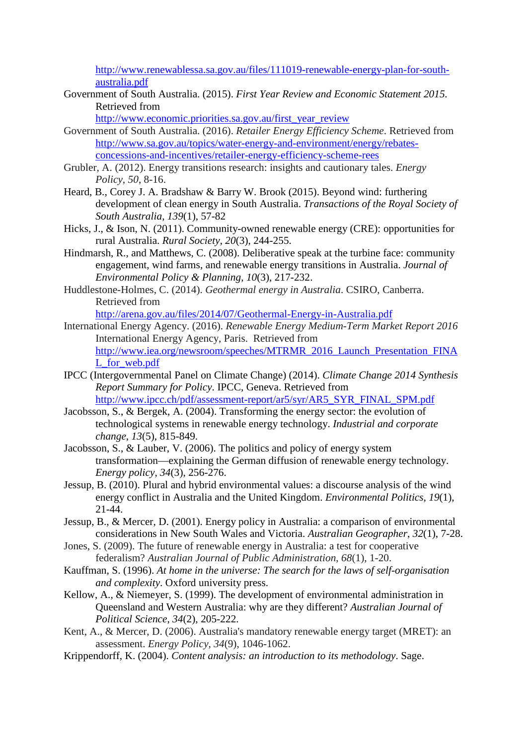[http://www.renewablessa.sa.gov.au/files/111019-renewable-energy-plan-for-south](http://www.renewablessa.sa.gov.au/files/111019-renewable-energy-plan-for-south-australia.pdf)[australia.pdf](http://www.renewablessa.sa.gov.au/files/111019-renewable-energy-plan-for-south-australia.pdf)

Government of South Australia. (2015). *First Year Review and Economic Statement 2015.*  Retrieved from

[http://www.economic.priorities.sa.gov.au/first\\_year\\_review](http://www.economic.priorities.sa.gov.au/first_year_review)

- Government of South Australia. (2016). *Retailer Energy Efficiency Scheme*. Retrieved from [http://www.sa.gov.au/topics/water-energy-and-environment/energy/rebates](http://www.sa.gov.au/topics/water-energy-and-environment/energy/rebates-concessions-and-incentives/retailer-energy-efficiency-scheme-rees)[concessions-and-incentives/retailer-energy-efficiency-scheme-rees](http://www.sa.gov.au/topics/water-energy-and-environment/energy/rebates-concessions-and-incentives/retailer-energy-efficiency-scheme-rees)
- Grubler, A. (2012). Energy transitions research: insights and cautionary tales. *Energy Policy*, *50*, 8-16.
- Heard, B., Corey J. A. Bradshaw & Barry W. Brook (2015). Beyond wind: furthering development of clean energy in South Australia. *Transactions of the Royal Society of South Australia*, *139*(1), 57-82
- Hicks, J., & Ison, N. (2011). Community-owned renewable energy (CRE): opportunities for rural Australia. *Rural Society*, *20*(3), 244-255.
- Hindmarsh, R., and Matthews, C. (2008). [Deliberative speak at the turbine face: community](http://www.tandfonline.com.elibrary.jcu.edu.au/doi/abs/10.1080/15239080802242662)  [engagement, wind farms, and renewable energy](http://www.tandfonline.com.elibrary.jcu.edu.au/doi/abs/10.1080/15239080802242662) transitions in Australia. *[Journal of](http://www.tandfonline.com.elibrary.jcu.edu.au/toc/cjoe20/10/3)  [Environmental Policy & Planning, 1](http://www.tandfonline.com.elibrary.jcu.edu.au/toc/cjoe20/10/3)0*(3), 217-232.
- Huddlestone-Holmes, C. (2014). *Geothermal energy in Australia*. CSIRO, Canberra. Retrieved from

<http://arena.gov.au/files/2014/07/Geothermal-Energy-in-Australia.pdf>

- International Energy Agency. (2016). *Renewable Energy Medium-Term Market Report 2016*  International Energy Agency, Paris. Retrieved from [http://www.iea.org/newsroom/speeches/MTRMR\\_2016\\_Launch\\_Presentation\\_FINA](http://www.iea.org/newsroom/speeches/MTRMR_2016_Launch_Presentation_FINAL_for_web.pdf) [L\\_for\\_web.pdf](http://www.iea.org/newsroom/speeches/MTRMR_2016_Launch_Presentation_FINAL_for_web.pdf)
- IPCC (Intergovernmental Panel on Climate Change) (2014). *Climate Change 2014 Synthesis Report Summary for Policy*. IPCC, Geneva. Retrieved from [http://www.ipcc.ch/pdf/assessment-report/ar5/syr/AR5\\_SYR\\_FINAL\\_SPM.pdf](http://www.ipcc.ch/pdf/assessment-report/ar5/syr/AR5_SYR_FINAL_SPM.pdf)
- Jacobsson, S., & Bergek, A. (2004). Transforming the energy sector: the evolution of technological systems in renewable energy technology. *Industrial and corporate change*, *13*(5), 815-849.
- Jacobsson, S., & Lauber, V. (2006). The politics and policy of energy system transformation—explaining the German diffusion of renewable energy technology. *Energy policy*, *34*(3), 256-276.
- Jessup, B. (2010). Plural and hybrid environmental values: a discourse analysis of the wind energy conflict in Australia and the United Kingdom. *Environmental Politics*, *19*(1), 21-44.
- Jessup, B., & Mercer, D. (2001). Energy policy in Australia: a comparison of environmental considerations in New South Wales and Victoria. *Australian Geographer*, *32*(1), 7-28.
- Jones, S. (2009). The future of renewable energy in Australia: a test for cooperative federalism? *Australian Journal of Public Administration*, *68*(1), 1-20.
- Kauffman, S. (1996). *At home in the universe: The search for the laws of self-organisation and complexity*. Oxford university press.
- Kellow, A., & Niemeyer, S. (1999). The development of environmental administration in Queensland and Western Australia: why are they different? *Australian Journal of Political Science*, *34*(2), 205-222.
- Kent, A., & Mercer, D. (2006). Australia's mandatory renewable energy target (MRET): an assessment. *Energy Policy*, *34*(9), 1046-1062.
- Krippendorff, K. (2004). *Content analysis: an introduction to its methodology*. Sage.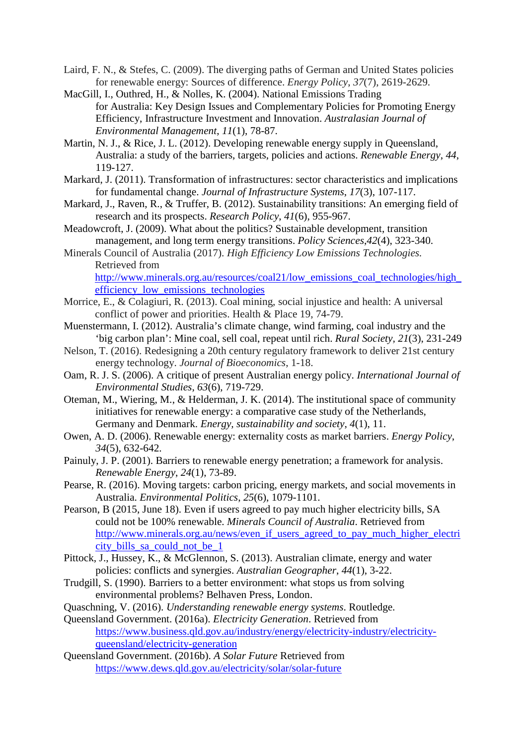- Laird, F. N., & Stefes, C. (2009). The diverging paths of German and United States policies for renewable energy: Sources of difference. *Energy Policy*, *37*(7), 2619-2629.
- MacGill, I., Outhred, H., & Nolles, K. (2004). National Emissions Trading for Australia: Key Design Issues and Complementary Policies for Promoting Energy Efficiency, Infrastructure Investment and Innovation. *Australasian Journal of Environmental Management*, *11*(1), 78-87.
- Martin, N. J., & Rice, J. L. (2012). Developing renewable energy supply in Queensland, Australia: a study of the barriers, targets, policies and actions. *Renewable Energy*, *44*, 119-127.
- Markard, J. (2011). Transformation of infrastructures: sector characteristics and implications for fundamental change. *Journal of Infrastructure Systems*, *17*(3), 107-117.
- Markard, J., Raven, R., & Truffer, B. (2012). Sustainability transitions: An emerging field of research and its prospects. *Research Policy*, *41*(6), 955-967.
- Meadowcroft, J. (2009). What about the politics? Sustainable development, transition management, and long term energy transitions. *Policy Sciences*,*42*(4), 323-340.
- Minerals Council of Australia (2017). *High Efficiency Low Emissions Technologies.*  Retrieved from

http://www.minerals.org.au/resources/coal21/low\_emissions\_coal\_technologies/high [efficiency\\_low\\_emissions\\_technologies](http://www.minerals.org.au/resources/coal21/low_emissions_coal_technologies/high_efficiency_low_emissions_technologies)

- Morrice, E., & Colagiuri, R. (2013). Coal mining, social injustice and health: A universal conflict of power and priorities. Health & Place 19, 74-79.
- Muenstermann, I. (2012). Australia's climate change, wind farming, coal industry and the 'big carbon plan': Mine coal, sell coal, repeat until rich. *Rural Society, 21*(3), 231-249
- Nelson, T. (2016). Redesigning a 20th century regulatory framework to deliver 21st century energy technology. *Journal of Bioeconomics*, 1-18.
- Oam, R. J. S. (2006). A critique of present Australian energy policy. *International Journal of Environmental Studies*, *63*(6), 719-729.
- Oteman, M., Wiering, M., & Helderman, J. K. (2014). The institutional space of community initiatives for renewable energy: a comparative case study of the Netherlands, Germany and Denmark. *Energy, sustainability and society*, *4*(1), 11.
- Owen, A. D. (2006). Renewable energy: externality costs as market barriers. *Energy Policy*, *34*(5), 632-642.
- Painuly, J. P. (2001). Barriers to renewable energy penetration; a framework for analysis. *Renewable Energy*, *24*(1), 73-89.
- Pearse, R. (2016). Moving targets: carbon pricing, energy markets, and social movements in Australia. *Environmental Politics*, *25*(6), 1079-1101.
- Pearson, B (2015, June 18). Even if users agreed to pay much higher electricity bills, SA could not be 100% renewable. *Minerals Council of Australia*. Retrieved from [http://www.minerals.org.au/news/even\\_if\\_users\\_agreed\\_to\\_pay\\_much\\_higher\\_electri](http://www.minerals.org.au/news/even_if_users_agreed_to_pay_much_higher_electricity_bills_sa_could_not_be_1) [city\\_bills\\_sa\\_could\\_not\\_be\\_1](http://www.minerals.org.au/news/even_if_users_agreed_to_pay_much_higher_electricity_bills_sa_could_not_be_1)
- Pittock, J., Hussey, K., & McGlennon, S. (2013). Australian climate, energy and water policies: conflicts and synergies. *Australian Geographer*, *44*(1), 3-22.
- Trudgill, S. (1990). Barriers to a better environment: what stops us from solving environmental problems? Belhaven Press, London.
- Quaschning, V. (2016). *Understanding renewable energy systems*. Routledge.
- Queensland Government. (2016a). *Electricity Generation*. Retrieved from [https://www.business.qld.gov.au/industry/energy/electricity-industry/electricity](https://www.business.qld.gov.au/industry/energy/electricity-industry/electricity-queensland/electricity-generation)[queensland/electricity-generation](https://www.business.qld.gov.au/industry/energy/electricity-industry/electricity-queensland/electricity-generation)
- Queensland Government. (2016b). *A Solar Future* Retrieved from <https://www.dews.qld.gov.au/electricity/solar/solar-future>